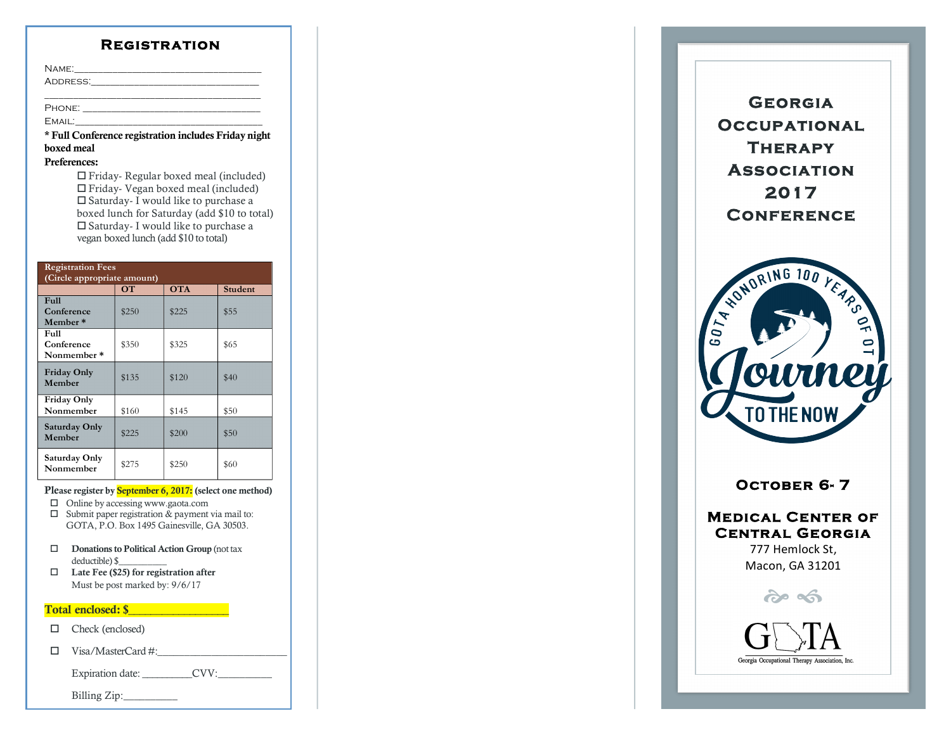### **Registration**

|        | NAME:                             |
|--------|-----------------------------------|
|        | ADDRESS:_________________________ |
|        |                                   |
| Phone: |                                   |

 $EMAIL:$ 

\* Full Conference registration includes Friday night boxed meal

#### Preferences :

 $\Box$  Friday- Regular boxed meal (included)  $\Box$  Friday- Vegan boxed meal (included)  $\square$  Saturday- I would like to purchase a boxed lunch for Saturday (add \$10 to total)  $\Box$  Saturday- I would like to purchase a vegan boxed lunch (add \$10 to total)

| <b>Registration Fees</b><br>(Circle appropriate amount) |           |            |                |  |  |  |  |
|---------------------------------------------------------|-----------|------------|----------------|--|--|--|--|
|                                                         | <b>OT</b> | <b>OTA</b> | <b>Student</b> |  |  |  |  |
| <b>Full</b><br>Conference<br>Member*                    | \$250     | \$225      | \$55           |  |  |  |  |
| <b>Full</b><br>Conference<br>Nonmember*                 | \$350     | \$325      | \$65           |  |  |  |  |
| <b>Friday Only</b><br>Member                            | \$135     | \$120      | \$40           |  |  |  |  |
| Friday Only<br>Nonmember                                | \$160     | \$145      | \$50           |  |  |  |  |
| Saturday Only<br>Member                                 | \$225     | \$200      | \$50           |  |  |  |  |
| Saturday Only<br>Nonmember                              | \$275     | \$250      | \$60           |  |  |  |  |

#### Please register by <mark>September 6, 2017:</mark> (select one method)

- $\Box$  Online by accessing www.gaota.com
- $\square$  Submit paper registration & payment via mail to: GOTA, P.O. Box 1495 Gainesville, GA 30503.
- $\square$  Donations to Political Action Group (not tax deductible) \$\_\_\_\_\_\_\_\_\_\_
- $\Box$  Late Fee (\$25) for registration after Must be post marked by: 9/6/17

### Total enclosed: \$\_\_\_\_\_\_\_\_\_\_\_\_\_\_\_\_\_\_

- $\Box$  Check (enclosed)
- o Visa/MasterCard # :\_\_\_\_\_\_\_\_\_\_\_\_\_\_\_\_\_\_\_\_\_\_\_\_

Expiration date: \_\_\_\_\_\_\_\_\_\_\_CVV:\_\_\_\_\_\_\_\_\_\_\_\_

Billing Zip :\_\_\_\_\_\_\_\_\_\_

**Georgia Occupational Therapy Association 2017 Conference** 



# **OCTOBER 6-7**

**Medical Center of Central Georgia**  777 Hemlock St,

Macon, GA 31201

 $\hat{\sigma}$